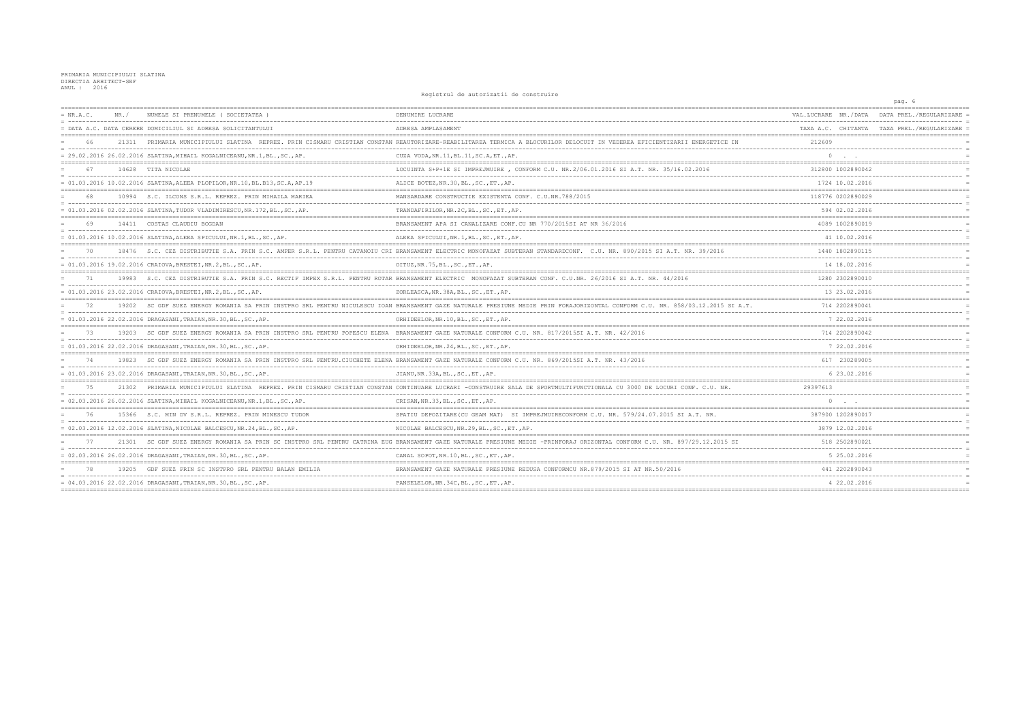|             |       |                                                                                        | Registrul de autorizatii de construire                                                                                                                                         |                                     | pag. 6                  |
|-------------|-------|----------------------------------------------------------------------------------------|--------------------------------------------------------------------------------------------------------------------------------------------------------------------------------|-------------------------------------|-------------------------|
| $= NR.A.C.$ | NR. / | NUMELE SI PRENUMELE ( SOCIETATEA                                                       | DENUMIRE LUCRARE                                                                                                                                                               | VAL. LUCRARE<br>NR./DATA            | DATA PREL               |
|             |       | = DATA A.C. DATA CERERE DOMICILIUL SI ADRESA SOLICITANTULUI                            | ADRESA AMPLASAMENT                                                                                                                                                             | TAXA A.C. CHITANTA                  | TAXA PREL./REGULARIZARE |
|             | 21311 |                                                                                        | PRIMARIA MUNICIPIULUI SLATINA REPREZ. PRIN CISMARU CRISTIAN CONSTAN REAUTORIZARE-REABILITAREA TERMICA A BLOCURILOR DELOCUIT IN VEDEREA EFICIENTIZARII ENERGETICE IN            | 212609                              |                         |
|             |       | $= 29.02.2016 26.02.2016 SLATINA, MHAIL KOGALNICEANU, NR.1, BL., SC., AP.$             | CUZA VODA, NR. 11, BL. 11, SC. A, ET., AP.                                                                                                                                     | $\Omega$                            |                         |
| 67          |       | 14628 TITA NICOLAE                                                                     | LOCUINTA S+P+1E SI IMPREJMUIRE , CONFORM C.U. NR.2/06.01.2016 SI A.T. NR. 35/16.02.2016                                                                                        | 312800 1002890042                   |                         |
|             |       | $= 01.03.2016 10.02.2016 \text{ SLATINA, ALEEA PLOPILOR, NR.10, BL. B13, SC.A, AP.19}$ | ALICE BOTEZ, NR. 30, BL., SC., ET., AP.                                                                                                                                        | 1724 10.02.2016                     |                         |
|             |       | 10994 S.C. ILCONS S.R.L. REPREZ. PRIN MIHAILA MARIEA                                   | MANSARDARE CONSTRUCTIE EXISTENTA CONF. C.U.NR.788/2015                                                                                                                         | 118776 0202890029                   |                         |
|             |       | $= 01.03.2016 02.02.2016 SLATINA, TUDOR VLADIMIRESCU, NR.172, BL., SC., AP.$           | TRANDAFIRILOR, NR. 2C, BL., SC., ET., AP.                                                                                                                                      | 594 02.02.2016                      |                         |
|             |       | 14411 COSTAS CLAUDIU BOGDAN                                                            | BRANSAMENT APA SI CANALIZARE CONF.CU NR 770/2015SI AT NR 36/2016                                                                                                               | 4089 1002890019                     |                         |
|             |       | $= 01.03.2016 10.02.2016 SLATINA, ALEEA SPICULUI, NR.1, BL., SC., AP.$                 | ALEEA SPICULUI, NR. 1, BL., SC., ET., AP.                                                                                                                                      | 41 10.02.2016                       |                         |
|             |       |                                                                                        | 18476 S.C. CEZ DISTRIBUTIE S.A. PRIN S.C. AMPER S.R.L. PENTRU CATANOIU CRI BRANSAMENT ELECTRIC MONOFAZAT SUBTERAN STANDARDCONF. C.U. NR. 890/2015 SI A.T. NR. 39/2016          | 1440 1802890115                     |                         |
|             |       | $= 01.03.2016 19.02.2016 CRAIOVA, BRESTEI, NR.2, BL., SC., AP.$                        | OITUZ, NR. 75, BL., SC., ET., AP.                                                                                                                                              | 14 18.02.2016                       |                         |
| 71          |       |                                                                                        | 19983 S.C. CEZ DISTRIBUTIE S.A. PRIN S.C. RECTIF IMPEX S.R.L. PENTRU ROTAR BRANSAMENT ELECTRIC MONOFAZAT SUBTERAN CONF. C.U.NR. 26/2016 SI A.T. NR. 44/2016                    | 1280 2302890010                     |                         |
|             |       | $= 01.03.2016 23.02.2016 CRAIOVA, BRESTEI, NR.2, BL., SC., AP.$                        | ZORLEASCA, NR. 38A, BL., SC., ET., AP.                                                                                                                                         | 13 23.02.2016                       |                         |
| 72          |       |                                                                                        | 19202 SC GDF SUEZ ENERGY ROMANIA SA PRIN INSTPRO SRL PENTRU NICULESCU IOAN BRANSAMENT GAZE NATURALE PRESIUNE MEDIE PRIN FORAJORIZONTAL CONFORM C.U. NR. 858/03.12.2015 SI A.T. | 714 2202890041                      |                         |
|             |       | = 01.03.2016 22.02.2016 DRAGASANI, TRAIAN, NR.30, BL., SC., AP.                        | ORHIDEELOR, NR.10, BL., SC., ET., AP.                                                                                                                                          | 7 22.02.2016                        |                         |
| 73          |       |                                                                                        | 19203 SC GDF SUEZ ENERGY ROMANIA SA PRIN INSTPRO SRL PENTRU POPESCU ELENA BRANSAMENT GAZE NATURALE CONFORM C.U. NR. 817/2015SI A.T. NR. 42/2016                                | 714 2202890042                      |                         |
|             |       | $= 01.03.2016 22.02.2016 DRAGASANI, TRAIAN, NR.30, BL., SC., AP.$                      | ORHIDEELOR, NR. 24, BL., SC., ET., AP.                                                                                                                                         | 7 22.02.2016                        |                         |
| 74          |       |                                                                                        | 19823 SC GDF SUEZ ENERGY ROMANIA SA PRIN INSTPRO SRL PENTRU.CIUCHETE ELENA BRANSAMENT GAZE NATURALE CONFORM C.U. NR. 869/2015SI A.T. NR. 43/2016                               | 617 230289005                       |                         |
|             |       | $= 01.03.2016 23.02.2016 DRAGASANI, TRAIAN, NR.30, BL., SC., AP.$                      | JIANU, NR. 33A, BL., SC., ET., AP.                                                                                                                                             | 6 23.02.2016                        |                         |
| 75          |       |                                                                                        | 21302 PRIMARIA MUNICIPIULUI SLATINA REPREZ. PRIN CISMARU CRISTIAN CONSTAN CONTINUARE LUCRARI -CONSTRUIRE SALA DE SPORTMULTIFUNCTIONALA CU 3000 DE LOCURI CONF. C.U. NR.        | 29397613                            |                         |
|             |       | $= 02.03.2016 26.02.2016 SLATINA, MHAIL KOGALNICEANU, NR.1,BL., SC., AP.$              | CRISAN, NR. 33, BL., SC., ET., AP.                                                                                                                                             | $0 \qquad . \qquad .$               |                         |
| 76          |       | 15366 S.C. MIN DV S.R.L. REPREZ. PRIN MINESCU TUDOR                                    | SPATIU DEPOZITARE (CU GEAM MAT) SI IMPREJMUIRECONFORM C.U. NR. 579/24.07.2015 SI A.T. NR.                                                                                      | 387900 1202890017                   |                         |
|             |       | $= 02.03.2016 12.02.2016 SLATINA, NICOLAE BALCESCU, NR.24, BL., SC., AP.$              | NICOLAE BALCESCU, NR.29, BL., SC., ET., AP.                                                                                                                                    | 3879 12.02.2016                     |                         |
| 77          | 21301 |                                                                                        | SC GDF SUEZ ENERGY ROMANIA SA PRIN SC INSTPRO SRL PENTRU CATRINA EUG BRANSAMENT GAZE NATURALE PRESIUNE MEDIE -PRINFORAJ ORIZONTAL CONFORM C.U. NR. 897/29.12.2015 SI           | 518 2502890021                      |                         |
|             |       | $= 02.03.2016 26.02.2016 DRAGASANI, TRAIAN, NR.30, BL., SC., AP.$                      | CANAL SOPOT, NR.10, BL., SC., ET., AP.                                                                                                                                         | 5 25.02.2016                        |                         |
|             |       | GDF SUEZ PRIN SC INSTPRO SRL PENTRU BALAN EMILIA                                       | BRANSAMENT GAZE NATURALE PRESIUNE REDUSA CONFORMCU NR 879/2015 SI AT NR 50/2016                                                                                                | 441 2202890043                      |                         |
|             |       | $= 04.03.2016 22.02.2016 DRAGASANI, TRAIAN, NR.30, BL., SC., AP.$                      | PANSELELOR, NR. 34C, BL., SC., ET., AP.                                                                                                                                        | 4 22.02.2016<br>=================== |                         |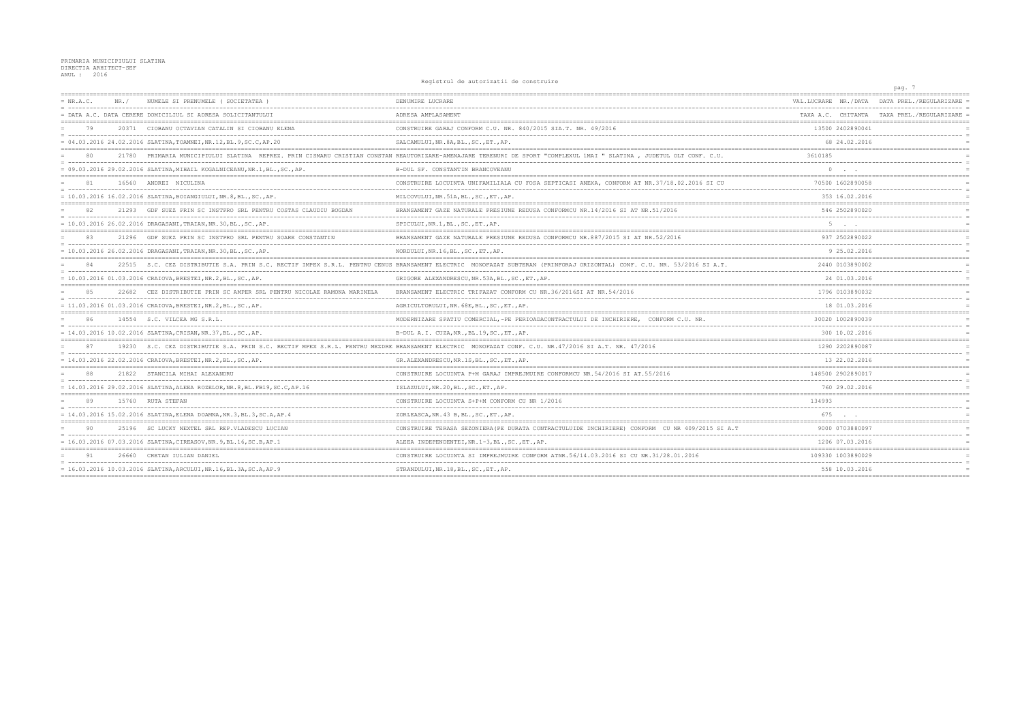Registrul de autorizatii de construire

|             |       |                                                                                | REGISTING AC GALLISALLI AS CONSTRIPTS                                                                                                                                  |                      | pag. 7                                       |
|-------------|-------|--------------------------------------------------------------------------------|------------------------------------------------------------------------------------------------------------------------------------------------------------------------|----------------------|----------------------------------------------|
| $= NR.A.C.$ | NR. / | NUMELE SI PRENUMELE (SOCIETATEA                                                | DENUMIRE LUCRARE                                                                                                                                                       | VAL.LUCRARE NR./DATA | DATA PREL./REGULARIZARE                      |
|             |       | - DATA A.C. DATA CERERE DOMICILIUL SI ADRESA SOLICITANTULUI                    | ADRESA AMPLASAMENT                                                                                                                                                     |                      | TAXA A.C. CHITANTA TAXA PREL. / REGULARIZARE |
| 79          | 20371 | CIOBANU OCTAVIAN CATALIN SI CIOBANU ELENA                                      | CONSTRUIRE GARAJ CONFORM C.U. NR. 840/2015 SIA.T. NR. 49/2016                                                                                                          | 13500 2402890041     |                                              |
|             |       | = 04.03.2016 24.02.2016 SLATINA, TOAMNEI, NR.12, BL.9, SC.C, AP.20             | SALCAMULUI, NR. 8A, BL., SC., ET., AP.                                                                                                                                 | 68 24.02.2016        |                                              |
|             |       |                                                                                | 21780 PRIMARIA MUNICIPIULUI SLATINA REPREZ. PRIN CISMARU CRISTIAN CONSTAN REAUTORIZARE-AMENAJARE TERENURI DE SPORT "COMPLEXUL 1MAI " SLATINA , JUDETUL OLT CONF. C.U.  | 3610185              |                                              |
|             |       | = 09.03.2016 29.02.2016 SLATINA, MIHAIL KOGALNICEANU, NR.1, BL., SC., AP.      | B-DUL SF. CONSTANTIN BRANCOVEANU                                                                                                                                       |                      |                                              |
|             |       | 16560 ANDREI NICULINA                                                          | CONSTRUIRE LOCUINTA UNIFAMILIALA CU FOSA SEPTICASI ANEXA, CONFORM AT NR.37/18.02.2016 SI CU                                                                            | 70500 1602890058     |                                              |
|             |       | = 10.03.2016 16.02.2016 SLATINA,BOIANGIULUI,NR.8,BL.,SC.,AP.                   | MILCOVULUI, NR.51A, BL., SC., ET., AP.                                                                                                                                 | 353 16.02.2016       |                                              |
| 82          |       | 21293 GDF SUEZ PRIN SC INSTPRO SRL PENTRU COSTAS CLAUDIU BOGDAN                | BRANSAMENT GAZE NATURALE PRESIUNE REDUSA CONFORMCU NR.14/2016 SI AT NR.51/2016                                                                                         | 546 2502890020       |                                              |
|             |       | = 10.03.2016 26.02.2016 DRAGASANI, TRAIAN, NR.30, BL., SC., AP.                | SPICULUI, NR.1, BL., SC., ET., AP.                                                                                                                                     |                      |                                              |
| 83          |       | 21296 GDF SUEZ PRIN SC INSTPRO SRL PENTRU SOARE CONSTANTIN                     | BRANSAMENT GAZE NATURALE PRESIUNE REDUSA CONFORMCU NR.887/2015 SI AT NR.52/2016                                                                                        | 937 2502890022       |                                              |
|             |       | = 10.03.2016 26.02.2016 DRAGASANI, TRAIAN, NR.30, BL., SC., AP.                | NORDULUI, NR.16, BL., SC., ET., AP.                                                                                                                                    | 9 25.02.2016         |                                              |
| 84          |       |                                                                                | 22515 S.C. CEZ DISTRIBUTIE S.A. PRIN S.C. RECTIF IMPEX S.R.L. PENTRU CENUS BRANSAMENT ELECTRIC MONOFAZAT SUBTERAN (PRINFORAJ ORIZONTAL) CONF. C.U. NR. 53/2016 SI A.T. | 2440 0103890002      |                                              |
|             |       | = 10.03.2016 01.03.2016 CRAIOVA, BRESTEI, NR.2, BL., SC., AP.                  | GRIGORE ALEXANDRESCU, NR.53A, BL., SC., ET., AP.                                                                                                                       | 24 01.03.2016        |                                              |
| 85          | 22682 | CEZ DISTRIBUTIE PRIN SC AMPER SRL PENTRU NICOLAE RAMONA MARINELA               | BRANSAMENT ELECTRIC TRIFAZAT CONFORM CU NR.36/2016SI AT NR.54/2016                                                                                                     | 1796 0103890032      |                                              |
|             |       | = 11.03.2016 01.03.2016 CRAIOVA, BRESTEI, NR.2, BL., SC., AP.                  | AGRICULTORULUI, NR. 68E, BL., SC., ET., AP.                                                                                                                            | 18 01.03.2016        |                                              |
| 86          |       | 14554 S.C. VILCEA MG S.R.L.                                                    | MODERNIZARE SPATIU COMERCIAL, -PE PERIOADACONTRACTULUI DE INCHIRIERE, CONFORM C.U. NR                                                                                  | 30020 1002890039     |                                              |
|             |       | $= 14.03.2016 10.02.2016 SLATINA, CRISAN, NR.37, BL., SC., AP.$                | B-DUL A.I. CUZA, NR., BL.19, SC., ET., AP.                                                                                                                             | 300 10.02.2016       |                                              |
|             |       |                                                                                | 19230 S.C. CEZ DISTRIBUTIE S.A. PRIN S.C. RECTIF MPEX S.R.L. PENTRU MEZDRE BRANSAMENT ELECTRIC MONOFAZAT CONF. C.U. NR.47/2016 SI A.T. NR. 47/2016                     | 1290 2202890087      |                                              |
|             |       | = 14.03.2016 22.02.2016 CRAIOVA, BRESTEI, NR.2, BL., SC., AP.                  | GR. ALEXANDRESCU, NR. 1S, BL., SC., ET., AP.                                                                                                                           | 13 22.02.2016        |                                              |
|             |       | 21822 STANCILA MIHAI ALEXANDRU                                                 | CONSTRUIRE LOCUINTA P+M GARAJ IMPREJMUIRE CONFORMCU NR.54/2016 SI AT.55/2016                                                                                           | 148500 2902890017    |                                              |
|             |       | = 14.03.2016 29.02.2016 SLATINA, ALEEA ROZELOR, NR. 8, BL. FB19, SC. C, AP. 16 | ISLAZULUI, NR. 20, BL., SC., ET., AP.                                                                                                                                  | 760 29.02.2016       |                                              |
| 89          |       | 15760 RUTA STEFAN                                                              | CONSTRUIRE LOCUINTA S+P+M CONFORM CU NR 1/2016                                                                                                                         | 134993               |                                              |
|             |       | = 14.03.2016 15.02.2016 SLATINA, ELENA DOAMNA, NR.3, BL.3, SC.A, AP.4          | ZORLEASCA, NR. 43 B, BL., SC., ET., AP.                                                                                                                                | 675                  |                                              |
| 90          |       | 25196 SC LUCKY NEXTEL SRL REP. VLADESCU LUCIAN                                 | CONSTRUIRE TERASA SEZONIERA (PE DURATA CONTRACTULUIDE INCHIRIERE) CONFORM CU NR 409/2015 SI A.T                                                                        | 9000 0703880097      |                                              |
|             |       | = 16.03.2016 07.03.2016 SLATINA, CIREASOV, NR. 9, BL. 16, SC. B, AP. 1         | ALEEA INDEPENDENTEI, NR. 1-3, BL., SC., ET., AP.                                                                                                                       | 1206 07.03.2016      |                                              |
| 91          |       | 26660 CRETAN IULIAN DANIEL                                                     | CONSTRUIRE LOCUINTA SI IMPREJMUIRE CONFORM ATNR.56/14.03.2016 SI CU NR.31/28.01.2016                                                                                   | 109330 1003890029    |                                              |
|             |       | = 16.03.2016 10.03.2016 SLATINA, ARCULUI, NR.16, BL.3A, SC.A, AP.9             | STRANDULUI, NR.18, BL., SC., ET., AP.                                                                                                                                  | 558 10.03.2016       |                                              |
|             |       |                                                                                |                                                                                                                                                                        |                      |                                              |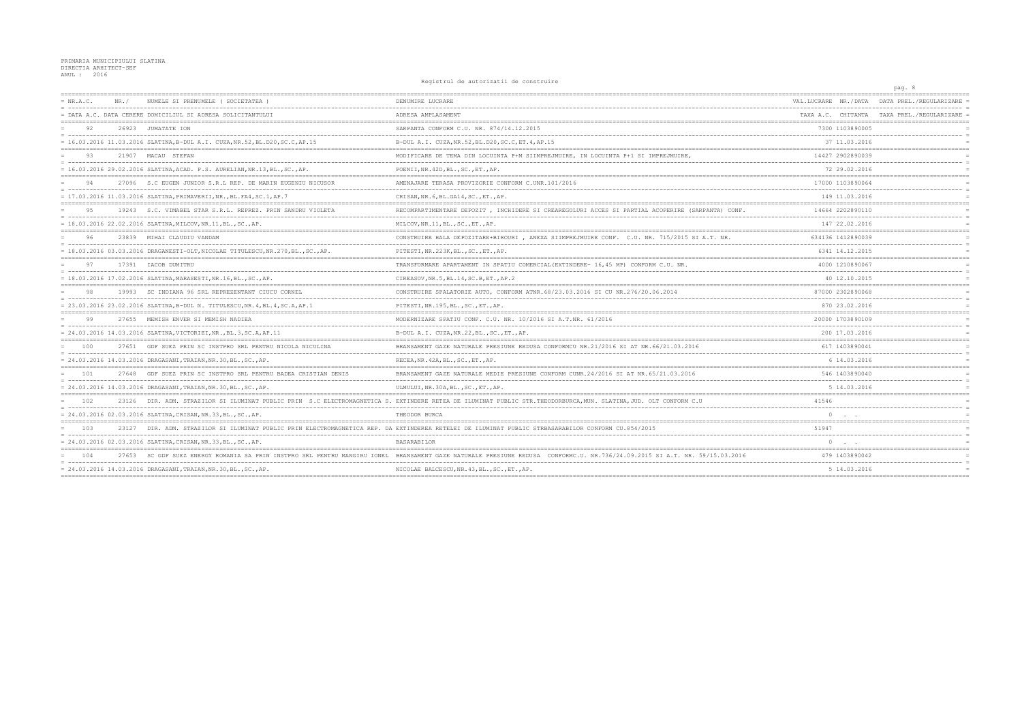Registrul de autorizatii de construire

|           |                                                                                  |                                                                                                                                                                            |                                          | pag. 8                                     |
|-----------|----------------------------------------------------------------------------------|----------------------------------------------------------------------------------------------------------------------------------------------------------------------------|------------------------------------------|--------------------------------------------|
| = NR.A.C. | NUMELE SI PRENUMELE ( SOCIETATEA<br>NR. /                                        | DENUMIRE LUCRARE                                                                                                                                                           | VAL.LUCRARE NR./DATA                     | DATA PREL./REGULARIZARE                    |
|           | = DATA A.C. DATA CERERE DOMICILIUL SI ADRESA SOLICITANTULUI                      | ADRESA AMPLASAMENT                                                                                                                                                         |                                          | TAXA A.C. CHITANTA TAXA PREL./REGULARIZARE |
| 92        | 26923 JUMATATE ION                                                               | SARPANTA CONFORM C.U. NR. 874/14.12.2015                                                                                                                                   | 7300 1103890005                          |                                            |
|           | = 16.03.2016 11.03.2016 SLATINA, B-DUL A.I. CUZA, NR.52, BL.D20, SC.C, AP.15     | B-DUL A.I. CUZA, NR. 52, BL. D20, SC. C, ET. 4, AP. 15                                                                                                                     | 37 11.03.2016                            |                                            |
| 93        | 21907 MACAU STEFAN                                                               | MODIFICARE DE TEMA DIN LOCUINTA P+M SIIMPREJMUIRE, IN LOCUINTA P+1 SI IMPREJMUIRE,                                                                                         | 14427 2902890039                         |                                            |
|           | = 16.03.2016 29.02.2016 SLATINA, ACAD. P.S. AURELIAN, NR.13, BL., SC., AP.       | POENII, NR. 42D, BL., SC., ET., AP.                                                                                                                                        | 72 29.02.2016                            |                                            |
| 94        | 27096 S.C EUGEN JUNIOR S.R.L REP. DE MARIN EUGENIU NICUSOR                       | AMENAJARE TERASA PROVIZORIE CONFORM C.UNR.101/2016                                                                                                                         | 17000 1103890064                         |                                            |
|           | = 17.03.2016 11.03.2016 SLATINA, PRIMAVERII, NR., BL. FA4, SC.1, AP.7            | CRISAN, NR. 6, BL. GA14, SC., ET., AP.                                                                                                                                     | 149 11.03.2016                           |                                            |
| 95        | 19243 S.C. VIMABEL STAR S.R.L. REPREZ. PRIN SANDRU VIOLETA                       | RECOMPARTIMENTARE DEPOZIT , INCHIDERE SI CREAREGOLURI ACCES SI PARTIAL ACOPERIRE (SARPANTA) CONF.                                                                          | 14664 2202890110<br>-------------------  |                                            |
|           | = 18.03.2016 22.02.2016 SLATINA, MILCOV, NR.11, BL., SC., AP.                    | MILCOV, NR. 11, BL., SC., ET., AP.                                                                                                                                         | 147 22.02.2016                           |                                            |
| 96        | 23839 MIHAI CLAUDIU VANDAM                                                       | CONSTRUIRE HALA DEPOZITARE+BIROURI, ANEXA SIIMPREJMUIRE CONF. C.U. NR. 715/2015 SI A.T. NR.                                                                                | 634136 1412890039                        |                                            |
|           | = 18.03.2016 03.03.2016 DRAGANESTI-OLT, NICOLAE TITULESCU, NR.270, BL., SC., AP. | PITESTI, NR. 223K, BL., SC., ET., AP.                                                                                                                                      | 6341 14.12.2015                          |                                            |
| 97        | 17391 IACOB DUMITRU                                                              | TRANSFORMARE APARTAMENT IN SPATIU COMERCIAL (EXTINDERE- 16,45 MP) CONFORM C.U. NR.                                                                                         | 4000 1210890067                          |                                            |
|           | = 18.03.2016 17.02.2016 SLATINA, MARASESTI, NR.16, BL., SC., AP.                 | CIREASOV, NR. 5, BL. 14, SC. B, ET., AP. 2                                                                                                                                 | 40 12.10.2015                            |                                            |
|           | 19993 SC INDIANA 96 SRL REPREZENTANT CIUCU CORNEL                                | CONSTRUIRE SPALATORIE AUTO, CONFORM ATNR. 68/23.03.2016 SI CU NR. 276/20.06.2014                                                                                           | 87000 2302890068                         |                                            |
|           | = 23.03.2016 23.02.2016 SLATINA, B-DUL N. TITULESCU, NR. 4, BL. 4, SC. A, AP. 1  | PITESTI, NR.195, BL., SC., ET., AP.                                                                                                                                        | 870 23.02.2016                           |                                            |
| 99        | 27655 MEMISH ENVER SI MEMISH NADIEA                                              | MODERNIZARE SPATIU CONF. C.U. NR. 10/2016 SI A.T.NR. 61/2016                                                                                                               | 20000 1703890109                         |                                            |
|           | = 24.03.2016 14.03.2016 SLATINA, VICTORIEI, NR., BL.3, SC.A, AP.11               | B-DUL A.I. CUZA, NR.22, BL., SC., ET., AP.                                                                                                                                 | 200 17.03.2016                           |                                            |
| 100       | 27651 GDF SUEZ PRIN SC INSTPRO SRL PENTRU NICOLA NICULINA                        | BRANSAMENT GAZE NATURALE PRESIUNE REDUSA CONFORMCU NR.21/2016 SI AT NR.66/21.03.2016                                                                                       | 617 1403890041                           |                                            |
|           | = 24.03.2016 14.03.2016 DRAGASANI, TRAIAN, NR.30, BL., SC., AP.                  | RECEA, NR. 42A, BL., SC., ET., AP.                                                                                                                                         | 6 14.03.2016                             |                                            |
| 101       | 27648<br>GDF SUEZ PRIN SC INSTPRO SRL PENTRU BADEA CRISTIAN DENIS                | BRANSAMENT GAZE NATURALE MEDIE PRESIUNE CONFORM CUNR.24/2016 SI AT NR.65/21.03.2016                                                                                        | 546 1403890040                           |                                            |
|           | = 24.03.2016 14.03.2016 DRAGASANI,TRAIAN,NR.30,BL.,SC.,AP.                       | ULMULUI, NR.30A, BL., SC., ET., AP.                                                                                                                                        | 5 14.03.2016                             |                                            |
| 102       |                                                                                  | 23126 DIR. ADM. STRAZILOR SI ILUMINAT PUBLIC PRIN S.C ELECTROMAGNETICA S. EXTINDERE RETEA DE ILUMINAT PUBLIC STR.THEODORBURCA, MUN. SLATINA, JUD. OLT CONFORM C.U          | 41546                                    |                                            |
|           | = 24.03.2016 02.03.2016 SLATINA, CRISAN, NR.33, BL., SC., AP.                    | THEODOR BURCA                                                                                                                                                              |                                          |                                            |
| 103       |                                                                                  | 23127 DIR. ADM. STRAZILOR SI ILUMINAT PUBLIC PRIN ELECTROMAGNETICA REP. DA EXTINDEREA RETELEI DE ILUMINAT PUBLIC STRBASARABILOR CONFORM CU.854/2015                        | 51947                                    |                                            |
|           | = 24.03.2016 02.03.2016 SLATINA, CRISAN, NR.33, BL., SC., AP.                    | <b>BASARABILOR</b>                                                                                                                                                         | $0 \qquad . \qquad .$                    |                                            |
| 104       |                                                                                  | 27653 SC GDF SUEZ ENERGY ROMANIA SA PRIN INSTPRO SRL PENTRU MANGIRU IONEL BRANSAMENT GAZE NATURALE PRESIUNE REDUSA CONFORMC.U. NR.736/24.09.2015 SI A.T. NR. 59/15.03.2016 | 479 1403890042                           |                                            |
|           | = 24.03.2016 14.03.2016 DRAGASANI, TRAIAN, NR.30, BL., SC., AP.                  | NICOLAE BALCESCU, NR. 43, BL., SC., ET., AP.                                                                                                                               | 5 14.03.2016<br>------------------------ |                                            |
|           |                                                                                  |                                                                                                                                                                            |                                          |                                            |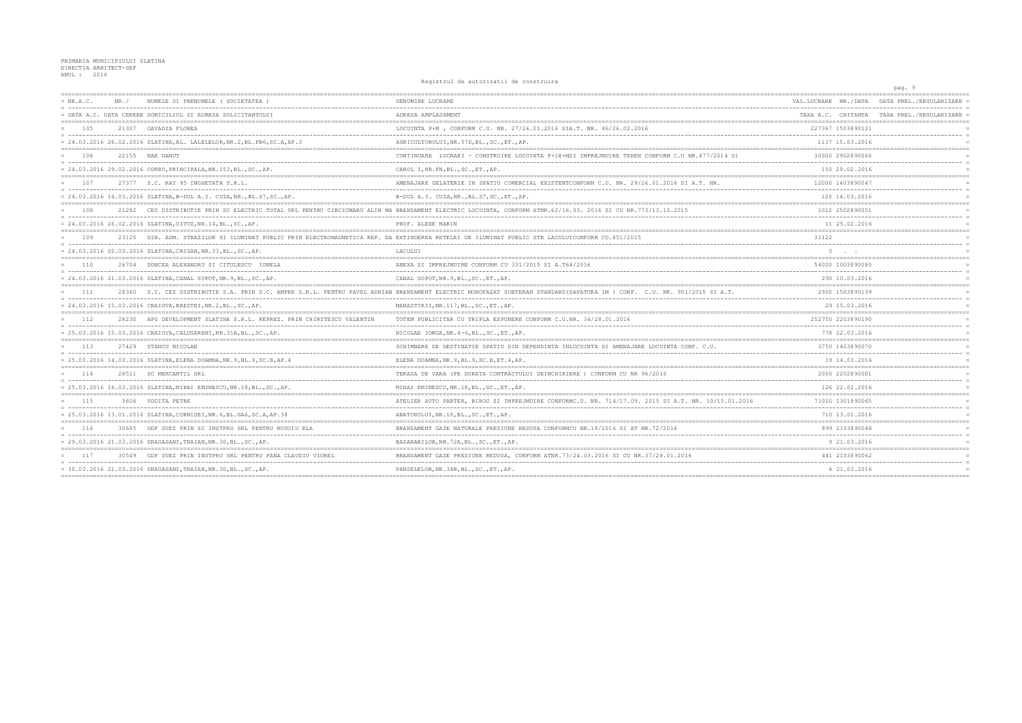Registrul de autorizatii de construire

|             |                                                               |                                                                             | Redistrict as autorizative construite                                                                                                                                     |                              | pag. 9                                     |
|-------------|---------------------------------------------------------------|-----------------------------------------------------------------------------|---------------------------------------------------------------------------------------------------------------------------------------------------------------------------|------------------------------|--------------------------------------------|
| $= NR.A.C.$ | $NR$ /                                                        | NUMELE SI PRENUMELE (SOCIETATEA)                                            | DENUMIRE LUCRARE                                                                                                                                                          | VAL.LUCRARE NR./DATA         | DATA PREL./REGULARIZARE                    |
|             |                                                               | = DATA A.C. DATA CERERE DOMICILIUL SI ADRESA SOLICITANTULUI                 | ADRESA AMPLASAMENT                                                                                                                                                        |                              | TAXA A.C. CHITANTA TAXA PREL./REGULARIZARE |
| 105         | 21307 GAVADIA FLOREA                                          |                                                                             | LOCUINTA P+M, CONFORM C.U. NR. 27/26.01.2016 SIA.T. NR. 46/26.02.2016                                                                                                     | 227367 1503890121            |                                            |
|             |                                                               | = 24.03.2016 26.02.2016 SLATINA, AL. LALELELOR, NR. 2, BL. FB6, SC. A, AP.3 | AGRICULTORULUI, NR. 57D, BL., SC., ET., AP.                                                                                                                               | 1137 15.03.2016              |                                            |
| 106         | 22155 NAE DANUT                                               |                                                                             | CONTINUARE LUCRARI - CONSTRUIRE LOCUINTA P+1E+MSI IMPREJMUIRE TEREN CONFORM C.U NR.477/2014 SI                                                                            | 30000 2902890066             |                                            |
|             |                                                               | = 24.03.2016 29.02.2016 CORBU, PRINCIPALA, NR.153, BL., SC., AP.            | CAROL I, NR. FN, BL., SC., ET., AP.                                                                                                                                       | 150 29.02.2016               |                                            |
| 107         | 27377 S.C. RAY 95 INGHETATA S.R.L.                            |                                                                             | AMENAJARE GELATERIE IN SPATIU COMERCIAL EXISTENTCONFORM C.U. NR. 29/26.01.2016 SI A.T. NR.                                                                                | 12000 1403890047             |                                            |
|             |                                                               | = 24.03.2016 14.03.2016 SLATINA,B-DUL A.I. CUZA,NR.,BL.S7,SC.,AP.           | B-DUL A.I. CUZA, NR., BL. S7, SC., ET., AP.                                                                                                                               | 120 14.03.2016               |                                            |
| 108         |                                                               |                                                                             | 21282 CEZ DISTRIBUTIE PRIN SC ELECTRIC TOTAL SRL PENTRU CIRCIUMARU ALIN MA BRANSAMENT ELECTRIC LOCUINTA, CONFORM ATNR. 62/16.03. 2016 SI CU NR. 773/13.10.2015            | 1012 2502890051              |                                            |
|             | = 24.03.2016 26.02.2016 SLATINA, OITUZ, NR.14, BL., SC., AP.  |                                                                             | PROF. ALEXE MARIN                                                                                                                                                         | 11 25.02.2016                |                                            |
| 109         |                                                               |                                                                             | 23125 DIR. ADM. STRAZILOR SI ILUMINAT PUBLIC PRIN ELECTROMAGNETICA REP. DA EXTINDEREA RETELEI DE ILUMINAT PUBLIC STR LACULUICONFORM CU.851/2015                           | 31122                        |                                            |
|             | = 24.03.2016 02.03.2016 SLATINA, CRISAN, NR.33, BL., SC., AP. |                                                                             | LACULUI                                                                                                                                                                   | $0 \qquad \qquad . \qquad .$ |                                            |
| 110         |                                                               | 26704 DONCEA ALEXANDRU SI CITULESCU IONELA                                  | ANEXA SI IMPREJMUIRE CONFORM CU 331/2015 SI A.T64/2016                                                                                                                    | 54000 1003890080             |                                            |
|             |                                                               | = 24.03.2016 21.03.2016 SLATINA, CANAL SOPOT, NR. 9, BL., SC., AP.          | CANAL SOPOT, NR. 9, BL., SC., ET., AP.                                                                                                                                    | 290 10.03.2016               |                                            |
| 111         |                                                               |                                                                             | 28360 S.C. CEZ DISTRIBUTIE S.A. PRIN S.C. AMPER S.R.L. PENTRU PAVEL ADRIAN BRANSAMENT ELECTRIC MONOFAZAT SUBTERAN STANDARD (SAPATURA 1M ) CONF. C.U. NR. 901/2015 SI A.T. | 2900 1503890139              |                                            |
|             | = 24.03.2016 15.03.2016 CRAIOVA, BRESTEI, NR.2, BL., SC., AP. |                                                                             | MANASTIRII, NR.117, BL., SC., ET., AP.                                                                                                                                    | 29 15.03.2016                |                                            |
| 112         |                                                               | 28230 APG DEVELOPMENT SLATINA S.R.L. REPREZ, PRIN CHIRITESCU VALENTIN       | TOTEM PUBLICITAR CU TRIPLA EXPUNERE CONFORM C.U.NR. 34/28.01.2016                                                                                                         | 252750 2203890190            |                                            |
|             |                                                               | = 25.03.2016 15.03.2016 CRAIOVA, CALUGARENI, NR.31A, BL., SC., AP.          | NICOLAE IORGA, NR. 4-6, BL., SC., ET., AP.                                                                                                                                | 778 22.03.2016               |                                            |
| 113         | 27429 STANCU NICOLAE                                          |                                                                             | SCHIMBARE DE DESTINATIE SPATIU DIN DEPENDINTA INLOCUINTA SI AMENAJARE LOCUINTA CONF. C.U.                                                                                 | 3750 1403890070              |                                            |
|             |                                                               | = 25.03.2016 14.03.2016 SLATINA, ELENA DOAMNA, NR. 9, BL. 9, SC. B, AP. 4   | ELENA DOAMNA, NR. 9, BL. 9, SC. B, ET. 4, AP.                                                                                                                             | 19 14.03.2016                |                                            |
| 114         | 28511 SC MERCANTIL SRL                                        |                                                                             | TERASA DE VARA (PE DURATA CONTRACTULUI DEINCHIRIERE) CONFORM CU NR 96/2016                                                                                                | 2000 2202890001              |                                            |
|             |                                                               | = 25.03.2016 16.03.2016 SLATINA, MIHAI EMINESCU, NR.18, BL., SC., AP.       | MIHAI EMINESCU, NR. 18, BL., SC., ET., AP.                                                                                                                                | 126 22.02.2016               |                                            |
| 115         | 3606 VODITA PETRE                                             |                                                                             | ATELIER AUTO PARTER, BIROU SI IMPREJMUIRE CONFORMC.U. NR. 714/17.09. 2015 SI A.T. NR. 10/15.01.2016                                                                       | 71000 1301890065             |                                            |
|             |                                                               | = 25.03.2016 13.01.2016 SLATINA, CORNISEI, NR. 6, BL. GA6, SC. A, AP. 38    | ABATORULUI, NR.18, BL., SC., ET., AP.                                                                                                                                     | 710 13.01.2016               |                                            |
| 116         |                                                               | 30685 GDF SUEZ PRIN SC INSTPRO SRL PENTRU RUSOIU ELA                        | BRANSAMENT GAZE NATURALE PRESIUNE REDUSA CONFORMCU NR.18/2016 SI AT NR.72/2016                                                                                            | 899 2103890048               |                                            |
|             |                                                               | = 29.03.2016 21.03.2016 DRAGASANI, TRAIAN, NR.30, BL., SC., AP.             | BASARABILOR, NR. 72A, BL., SC., ET., AP.                                                                                                                                  | 9 21.03.2016                 |                                            |
| 117         |                                                               | 30549 GDF SUEZ PRIN INSTPRO SRL PENTRU PANA CLAUDIU VIOREL                  | BRANSAMENT GAZE PRESIUNE REDUSA, CONFORM ATNR.73/24.03.2016 SI CU NR.37/28.01.2016                                                                                        | 441 2103890062               |                                            |
|             |                                                               | = 30.03.2016 21.03.2016 DRAGASANI, TRAIAN, NR.30, BL., SC., AP.             | PANSELELOR, NR. 34B, BL., SC., ET., AP.                                                                                                                                   | 4 21.03.2016                 |                                            |
|             |                                                               |                                                                             |                                                                                                                                                                           |                              |                                            |